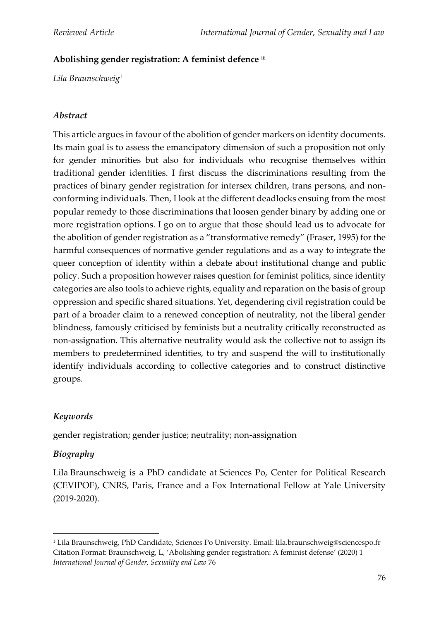## **Abolishing gender registration: A feminist defence** iii

*Lila Braunschweig*<sup>1</sup>

### *Abstract*

This article argues in favour of the abolition of gender markers on identity documents. Its main goal is to assess the emancipatory dimension of such a proposition not only for gender minorities but also for individuals who recognise themselves within traditional gender identities. I first discuss the discriminations resulting from the practices of binary gender registration for intersex children, trans persons, and nonconforming individuals. Then, I look at the different deadlocks ensuing from the most popular remedy to those discriminations that loosen gender binary by adding one or more registration options. I go on to argue that those should lead us to advocate for the abolition of gender registration as a "transformative remedy" (Fraser, 1995) for the harmful consequences of normative gender regulations and as a way to integrate the queer conception of identity within a debate about institutional change and public policy. Such a proposition however raises question for feminist politics, since identity categories are also tools to achieve rights, equality and reparation on the basis of group oppression and specific shared situations. Yet, degendering civil registration could be part of a broader claim to a renewed conception of neutrality, not the liberal gender blindness, famously criticised by feminists but a neutrality critically reconstructed as non-assignation. This alternative neutrality would ask the collective not to assign its members to predetermined identities, to try and suspend the will to institutionally identify individuals according to collective categories and to construct distinctive groups.

# *Keywords*

gender registration; gender justice; neutrality; non-assignation

# *Biography*

Lila Braunschweig is a PhD candidate at Sciences Po, Center for Political Research (CEVIPOF), CNRS, Paris, France and a Fox International Fellow at Yale University (2019-2020).

<sup>1</sup> Lila Braunschweig, PhD Candidate, Sciences Po University. Email: lila.braunschweig@sciencespo.fr Citation Format: Braunschweig, L, 'Abolishing gender registration: A feminist defense' (2020) 1 *International Journal of Gender, Sexuality and Law* 76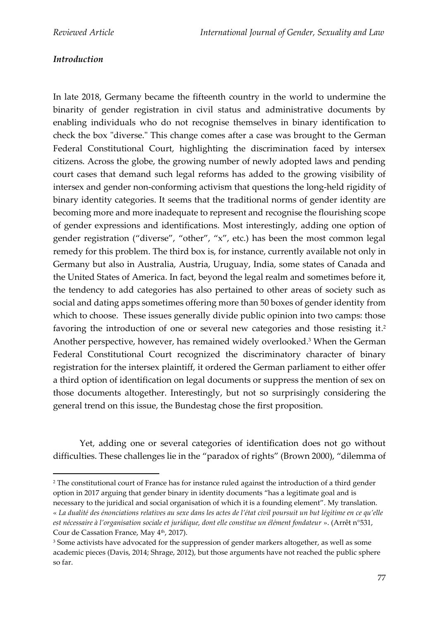### *Introduction*

In late 2018, Germany became the fifteenth country in the world to undermine the binarity of gender registration in civil status and administrative documents by enabling individuals who do not recognise themselves in binary identification to check the box "diverse." This change comes after a case was brought to the German Federal Constitutional Court, highlighting the discrimination faced by intersex citizens. Across the globe, the growing number of newly adopted laws and pending court cases that demand such legal reforms has added to the growing visibility of intersex and gender non-conforming activism that questions the long-held rigidity of binary identity categories. It seems that the traditional norms of gender identity are becoming more and more inadequate to represent and recognise the flourishing scope of gender expressions and identifications. Most interestingly, adding one option of gender registration ("diverse", "other", "x", etc.) has been the most common legal remedy for this problem. The third box is, for instance, currently available not only in Germany but also in Australia, Austria, Uruguay, India, some states of Canada and the United States of America. In fact, beyond the legal realm and sometimes before it, the tendency to add categories has also pertained to other areas of society such as social and dating apps sometimes offering more than 50 boxes of gender identity from which to choose. These issues generally divide public opinion into two camps: those favoring the introduction of one or several new categories and those resisting it. 2 Another perspective, however, has remained widely overlooked. <sup>3</sup> When the German Federal Constitutional Court recognized the discriminatory character of binary registration for the intersex plaintiff, it ordered the German parliament to either offer a third option of identification on legal documents or suppress the mention of sex on those documents altogether. Interestingly, but not so surprisingly considering the general trend on this issue, the Bundestag chose the first proposition.

Yet, adding one or several categories of identification does not go without difficulties. These challenges lie in the "paradox of rights" (Brown 2000), "dilemma of

<sup>2</sup> The constitutional court of France has for instance ruled against the introduction of a third gender option in 2017 arguing that gender binary in identity documents "has a legitimate goal and is

necessary to the juridical and social organisation of which it is a founding element". My translation. « *La dualité des énonciations relatives au sexe dans les actes de l'état civil poursuit un but légitime en ce qu'elle est nécessaire à l'organisation sociale et juridique, dont elle constitue un élément fondateur* ». (Arrêt n°531, Cour de Cassation France, May 4<sup>th</sup>, 2017).

<sup>&</sup>lt;sup>3</sup> Some activists have advocated for the suppression of gender markers altogether, as well as some academic pieces (Davis, 2014; Shrage, 2012), but those arguments have not reached the public sphere so far.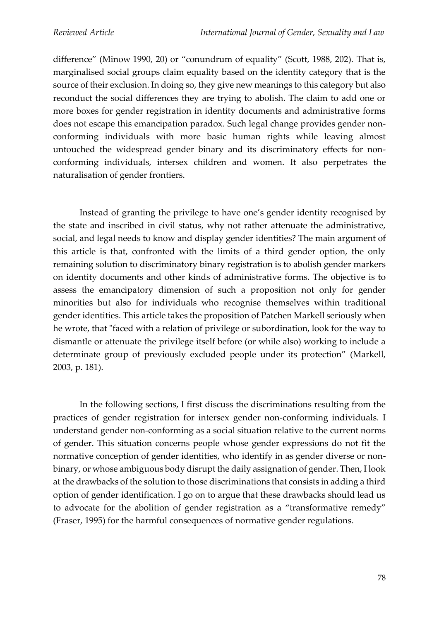difference" (Minow 1990, 20) or "conundrum of equality" (Scott, 1988, 202). That is, marginalised social groups claim equality based on the identity category that is the source of their exclusion. In doing so, they give new meanings to this category but also reconduct the social differences they are trying to abolish. The claim to add one or more boxes for gender registration in identity documents and administrative forms does not escape this emancipation paradox. Such legal change provides gender nonconforming individuals with more basic human rights while leaving almost untouched the widespread gender binary and its discriminatory effects for nonconforming individuals, intersex children and women. It also perpetrates the naturalisation of gender frontiers.

Instead of granting the privilege to have one's gender identity recognised by the state and inscribed in civil status, why not rather attenuate the administrative, social, and legal needs to know and display gender identities? The main argument of this article is that, confronted with the limits of a third gender option, the only remaining solution to discriminatory binary registration is to abolish gender markers on identity documents and other kinds of administrative forms. The objective is to assess the emancipatory dimension of such a proposition not only for gender minorities but also for individuals who recognise themselves within traditional gender identities. This article takes the proposition of Patchen Markell seriously when he wrote, that "faced with a relation of privilege or subordination, look for the way to dismantle or attenuate the privilege itself before (or while also) working to include a determinate group of previously excluded people under its protection" (Markell, 2003, p. 181).

In the following sections, I first discuss the discriminations resulting from the practices of gender registration for intersex gender non-conforming individuals. I understand gender non-conforming as a social situation relative to the current norms of gender. This situation concerns people whose gender expressions do not fit the normative conception of gender identities, who identify in as gender diverse or nonbinary, or whose ambiguous body disrupt the daily assignation of gender. Then, I look at the drawbacks of the solution to those discriminations that consists in adding a third option of gender identification. I go on to argue that these drawbacks should lead us to advocate for the abolition of gender registration as a "transformative remedy" (Fraser, 1995) for the harmful consequences of normative gender regulations.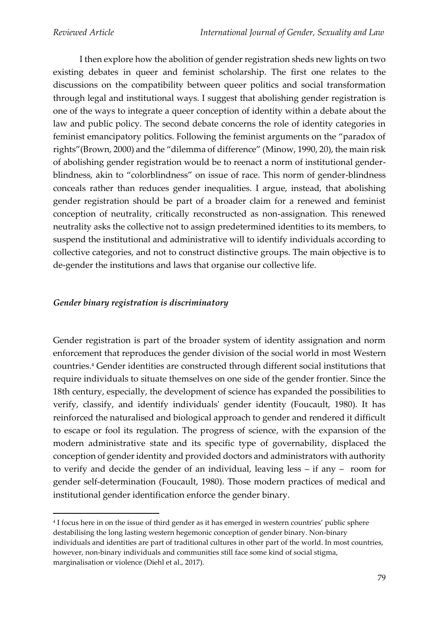I then explore how the abolition of gender registration sheds new lights on two existing debates in queer and feminist scholarship. The first one relates to the discussions on the compatibility between queer politics and social transformation through legal and institutional ways. I suggest that abolishing gender registration is one of the ways to integrate a queer conception of identity within a debate about the law and public policy. The second debate concerns the role of identity categories in feminist emancipatory politics. Following the feminist arguments on the "paradox of rights"(Brown, 2000) and the "dilemma of difference" (Minow, 1990, 20), the main risk of abolishing gender registration would be to reenact a norm of institutional genderblindness, akin to "colorblindness" on issue of race. This norm of gender-blindness conceals rather than reduces gender inequalities. I argue, instead, that abolishing gender registration should be part of a broader claim for a renewed and feminist conception of neutrality, critically reconstructed as non-assignation. This renewed neutrality asks the collective not to assign predetermined identities to its members, to suspend the institutional and administrative will to identify individuals according to collective categories, and not to construct distinctive groups. The main objective is to de-gender the institutions and laws that organise our collective life.

#### *Gender binary registration is discriminatory*

Gender registration is part of the broader system of identity assignation and norm enforcement that reproduces the gender division of the social world in most Western countries. <sup>4</sup> Gender identities are constructed through different social institutions that require individuals to situate themselves on one side of the gender frontier. Since the 18th century, especially, the development of science has expanded the possibilities to verify, classify, and identify individuals' gender identity (Foucault, 1980). It has reinforced the naturalised and biological approach to gender and rendered it difficult to escape or fool its regulation. The progress of science, with the expansion of the modern administrative state and its specific type of governability, displaced the conception of gender identity and provided doctors and administrators with authority to verify and decide the gender of an individual, leaving less – if any – room for gender self-determination (Foucault, 1980). Those modern practices of medical and institutional gender identification enforce the gender binary.

<sup>4</sup> I focus here in on the issue of third gender as it has emerged in western countries' public sphere destabilising the long lasting western hegemonic conception of gender binary. Non-binary individuals and identities are part of traditional cultures in other part of the world. In most countries, however, non-binary individuals and communities still face some kind of social stigma, marginalisation or violence (Diehl et al., 2017).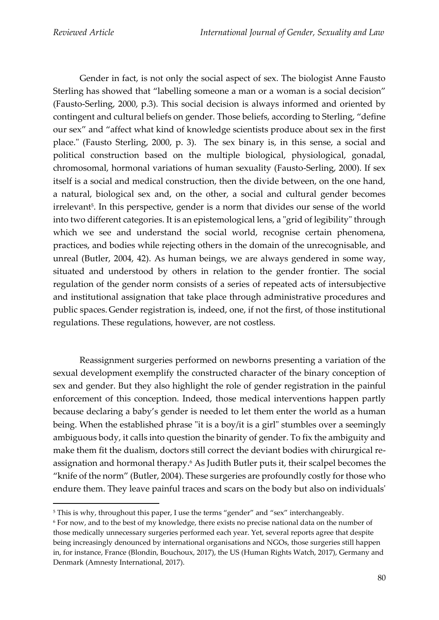Gender in fact, is not only the social aspect of sex. The biologist Anne Fausto Sterling has showed that "labelling someone a man or a woman is a social decision" (Fausto-Serling, 2000, p.3). This social decision is always informed and oriented by contingent and cultural beliefs on gender. Those beliefs, according to Sterling, "define our sex" and "affect what kind of knowledge scientists produce about sex in the first place." (Fausto Sterling, 2000, p. 3). The sex binary is, in this sense, a social and political construction based on the multiple biological, physiological, gonadal, chromosomal, hormonal variations of human sexuality (Fausto-Serling, 2000). If sex itself is a social and medical construction, then the divide between, on the one hand, a natural, biological sex and, on the other, a social and cultural gender becomes irrelevant<sup>5</sup>. In this perspective, gender is a norm that divides our sense of the world into two different categories. It is an epistemological lens, a "grid of legibility" through which we see and understand the social world, recognise certain phenomena, practices, and bodies while rejecting others in the domain of the unrecognisable, and unreal (Butler, 2004, 42). As human beings, we are always gendered in some way, situated and understood by others in relation to the gender frontier. The social regulation of the gender norm consists of a series of repeated acts of intersubjective and institutional assignation that take place through administrative procedures and public spaces.Gender registration is, indeed, one, if not the first, of those institutional regulations. These regulations, however, are not costless.

Reassignment surgeries performed on newborns presenting a variation of the sexual development exemplify the constructed character of the binary conception of sex and gender. But they also highlight the role of gender registration in the painful enforcement of this conception. Indeed, those medical interventions happen partly because declaring a baby's gender is needed to let them enter the world as a human being. When the established phrase "it is a boy/it is a girl" stumbles over a seemingly ambiguous body, it calls into question the binarity of gender. To fix the ambiguity and make them fit the dualism, doctors still correct the deviant bodies with chirurgical reassignation and hormonal therapy. <sup>6</sup> As Judith Butler puts it, their scalpel becomes the "knife of the norm" (Butler, 2004). These surgeries are profoundly costly for those who endure them. They leave painful traces and scars on the body but also on individuals'

<sup>&</sup>lt;sup>5</sup> This is why, throughout this paper, I use the terms "gender" and "sex" interchangeably.

<sup>6</sup> For now, and to the best of my knowledge, there exists no precise national data on the number of those medically unnecessary surgeries performed each year. Yet, several reports agree that despite being increasingly denounced by international organisations and NGOs, those surgeries still happen in, for instance, France (Blondin, Bouchoux, 2017), the US (Human Rights Watch, 2017), Germany and Denmark (Amnesty International, 2017).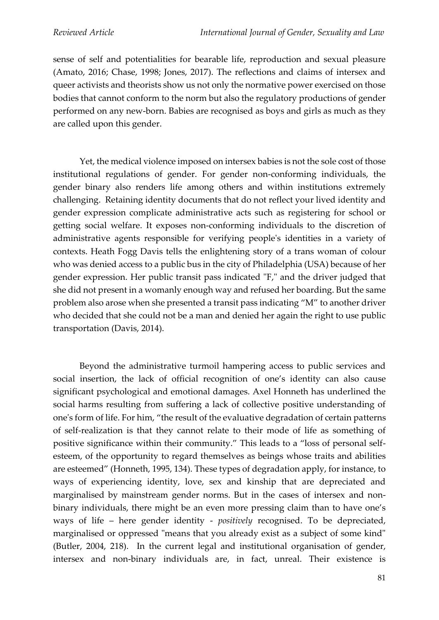sense of self and potentialities for bearable life, reproduction and sexual pleasure (Amato, 2016; Chase, 1998; Jones, 2017). The reflections and claims of intersex and queer activists and theorists show us not only the normative power exercised on those bodies that cannot conform to the norm but also the regulatory productions of gender performed on any new-born. Babies are recognised as boys and girls as much as they are called upon this gender.

Yet, the medical violence imposed on intersex babies is not the sole cost of those institutional regulations of gender. For gender non-conforming individuals, the gender binary also renders life among others and within institutions extremely challenging. Retaining identity documents that do not reflect your lived identity and gender expression complicate administrative acts such as registering for school or getting social welfare. It exposes non-conforming individuals to the discretion of administrative agents responsible for verifying people's identities in a variety of contexts. Heath Fogg Davis tells the enlightening story of a trans woman of colour who was denied access to a public bus in the city of Philadelphia (USA) because of her gender expression. Her public transit pass indicated "F," and the driver judged that she did not present in a womanly enough way and refused her boarding. But the same problem also arose when she presented a transit pass indicating "M" to another driver who decided that she could not be a man and denied her again the right to use public transportation (Davis, 2014).

Beyond the administrative turmoil hampering access to public services and social insertion, the lack of official recognition of one's identity can also cause significant psychological and emotional damages. Axel Honneth has underlined the social harms resulting from suffering a lack of collective positive understanding of one's form of life. For him, "the result of the evaluative degradation of certain patterns of self-realization is that they cannot relate to their mode of life as something of positive significance within their community." This leads to a "loss of personal selfesteem, of the opportunity to regard themselves as beings whose traits and abilities are esteemed" (Honneth, 1995, 134). These types of degradation apply, for instance, to ways of experiencing identity, love, sex and kinship that are depreciated and marginalised by mainstream gender norms. But in the cases of intersex and nonbinary individuals, there might be an even more pressing claim than to have one's ways of life – here gender identity - *positively* recognised. To be depreciated, marginalised or oppressed "means that you already exist as a subject of some kind" (Butler, 2004, 218). In the current legal and institutional organisation of gender, intersex and non-binary individuals are, in fact, unreal. Their existence is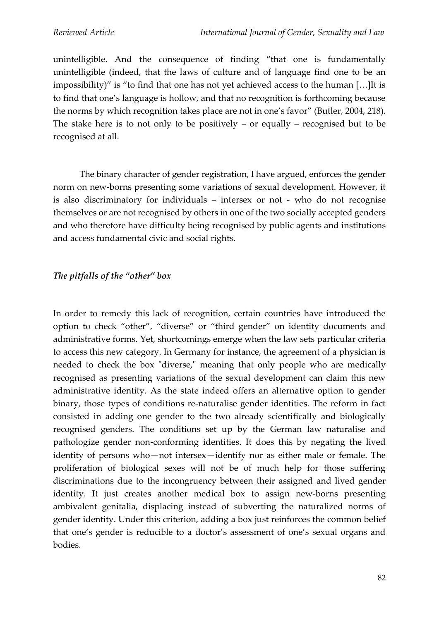unintelligible. And the consequence of finding "that one is fundamentally unintelligible (indeed, that the laws of culture and of language find one to be an impossibility)" is "to find that one has not yet achieved access to the human […]It is to find that one's language is hollow, and that no recognition is forthcoming because the norms by which recognition takes place are not in one's favor" (Butler, 2004, 218). The stake here is to not only to be positively  $-$  or equally  $-$  recognised but to be recognised at all.

The binary character of gender registration, I have argued, enforces the gender norm on new-borns presenting some variations of sexual development. However, it is also discriminatory for individuals – intersex or not - who do not recognise themselves or are not recognised by others in one of the two socially accepted genders and who therefore have difficulty being recognised by public agents and institutions and access fundamental civic and social rights.

### *The pitfalls of the "other" box*

In order to remedy this lack of recognition, certain countries have introduced the option to check "other", "diverse" or "third gender" on identity documents and administrative forms. Yet, shortcomings emerge when the law sets particular criteria to access this new category. In Germany for instance, the agreement of a physician is needed to check the box "diverse," meaning that only people who are medically recognised as presenting variations of the sexual development can claim this new administrative identity. As the state indeed offers an alternative option to gender binary, those types of conditions re-naturalise gender identities. The reform in fact consisted in adding one gender to the two already scientifically and biologically recognised genders. The conditions set up by the German law naturalise and pathologize gender non-conforming identities. It does this by negating the lived identity of persons who—not intersex—identify nor as either male or female. The proliferation of biological sexes will not be of much help for those suffering discriminations due to the incongruency between their assigned and lived gender identity. It just creates another medical box to assign new-borns presenting ambivalent genitalia, displacing instead of subverting the naturalized norms of gender identity. Under this criterion, adding a box just reinforces the common belief that one's gender is reducible to a doctor's assessment of one's sexual organs and bodies.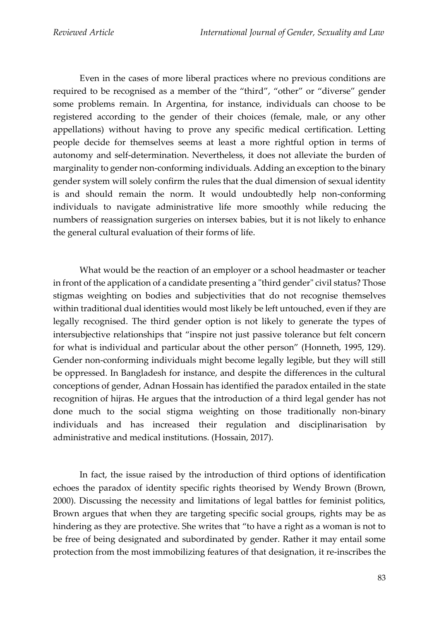Even in the cases of more liberal practices where no previous conditions are required to be recognised as a member of the "third", "other" or "diverse" gender some problems remain. In Argentina, for instance, individuals can choose to be registered according to the gender of their choices (female, male, or any other appellations) without having to prove any specific medical certification. Letting people decide for themselves seems at least a more rightful option in terms of autonomy and self-determination. Nevertheless, it does not alleviate the burden of marginality to gender non-conforming individuals. Adding an exception to the binary gender system will solely confirm the rules that the dual dimension of sexual identity is and should remain the norm. It would undoubtedly help non-conforming individuals to navigate administrative life more smoothly while reducing the numbers of reassignation surgeries on intersex babies, but it is not likely to enhance the general cultural evaluation of their forms of life.

What would be the reaction of an employer or a school headmaster or teacher in front of the application of a candidate presenting a "third gender" civil status? Those stigmas weighting on bodies and subjectivities that do not recognise themselves within traditional dual identities would most likely be left untouched, even if they are legally recognised. The third gender option is not likely to generate the types of intersubjective relationships that "inspire not just passive tolerance but felt concern for what is individual and particular about the other person" (Honneth, 1995, 129). Gender non-conforming individuals might become legally legible, but they will still be oppressed. In Bangladesh for instance, and despite the differences in the cultural conceptions of gender, Adnan Hossain has identified the paradox entailed in the state recognition of hijras. He argues that the introduction of a third legal gender has not done much to the social stigma weighting on those traditionally non-binary individuals and has increased their regulation and disciplinarisation by administrative and medical institutions. (Hossain, 2017).

In fact, the issue raised by the introduction of third options of identification echoes the paradox of identity specific rights theorised by Wendy Brown (Brown, 2000). Discussing the necessity and limitations of legal battles for feminist politics, Brown argues that when they are targeting specific social groups, rights may be as hindering as they are protective. She writes that "to have a right as a woman is not to be free of being designated and subordinated by gender. Rather it may entail some protection from the most immobilizing features of that designation, it re-inscribes the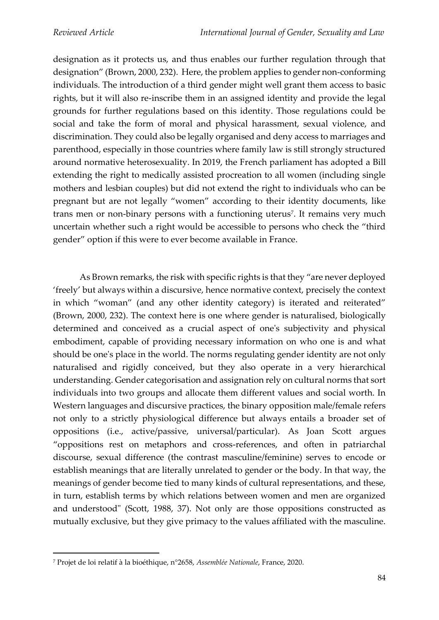designation as it protects us, and thus enables our further regulation through that designation" (Brown, 2000, 232). Here, the problem applies to gender non-conforming individuals. The introduction of a third gender might well grant them access to basic rights, but it will also re-inscribe them in an assigned identity and provide the legal grounds for further regulations based on this identity. Those regulations could be social and take the form of moral and physical harassment, sexual violence, and discrimination. They could also be legally organised and deny access to marriages and parenthood, especially in those countries where family law is still strongly structured around normative heterosexuality. In 2019, the French parliament has adopted a Bill extending the right to medically assisted procreation to all women (including single mothers and lesbian couples) but did not extend the right to individuals who can be pregnant but are not legally "women" according to their identity documents, like trans men or non-binary persons with a functioning uterus<sup>7</sup>. It remains very much uncertain whether such a right would be accessible to persons who check the "third gender" option if this were to ever become available in France.

As Brown remarks, the risk with specific rights is that they "are never deployed 'freely' but always within a discursive, hence normative context, precisely the context in which "woman" (and any other identity category) is iterated and reiterated" (Brown, 2000, 232). The context here is one where gender is naturalised, biologically determined and conceived as a crucial aspect of one's subjectivity and physical embodiment, capable of providing necessary information on who one is and what should be one's place in the world. The norms regulating gender identity are not only naturalised and rigidly conceived, but they also operate in a very hierarchical understanding. Gender categorisation and assignation rely on cultural norms that sort individuals into two groups and allocate them different values and social worth. In Western languages and discursive practices, the binary opposition male/female refers not only to a strictly physiological difference but always entails a broader set of oppositions (i.e., active/passive, universal/particular). As Joan Scott argues "oppositions rest on metaphors and cross-references, and often in patriarchal discourse, sexual difference (the contrast masculine/feminine) serves to encode or establish meanings that are literally unrelated to gender or the body. In that way, the meanings of gender become tied to many kinds of cultural representations, and these, in turn, establish terms by which relations between women and men are organized and understood" (Scott, 1988, 37). Not only are those oppositions constructed as mutually exclusive, but they give primacy to the values affiliated with the masculine.

<sup>7</sup> Projet de loi relatif à la bioéthique, n°2658, *Assemblée Nationale*, France, 2020.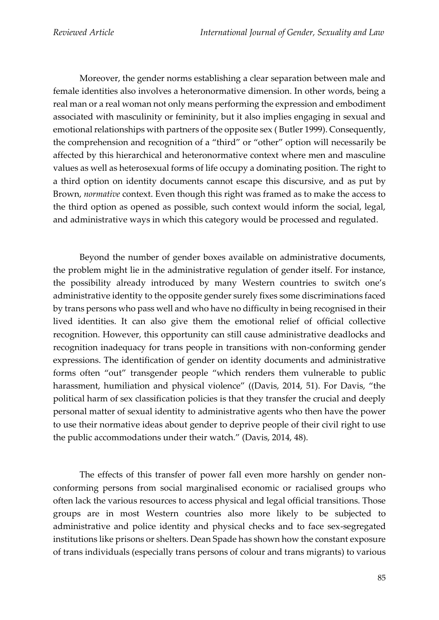Moreover, the gender norms establishing a clear separation between male and female identities also involves a heteronormative dimension. In other words, being a real man or a real woman not only means performing the expression and embodiment associated with masculinity or femininity, but it also implies engaging in sexual and emotional relationships with partners of the opposite sex ( Butler 1999). Consequently, the comprehension and recognition of a "third" or "other" option will necessarily be affected by this hierarchical and heteronormative context where men and masculine values as well as heterosexual forms of life occupy a dominating position. The right to a third option on identity documents cannot escape this discursive, and as put by Brown, *normative* context. Even though this right was framed as to make the access to the third option as opened as possible, such context would inform the social, legal, and administrative ways in which this category would be processed and regulated.

Beyond the number of gender boxes available on administrative documents, the problem might lie in the administrative regulation of gender itself. For instance, the possibility already introduced by many Western countries to switch one's administrative identity to the opposite gender surely fixes some discriminations faced by trans persons who pass well and who have no difficulty in being recognised in their lived identities. It can also give them the emotional relief of official collective recognition. However, this opportunity can still cause administrative deadlocks and recognition inadequacy for trans people in transitions with non-conforming gender expressions. The identification of gender on identity documents and administrative forms often "out" transgender people "which renders them vulnerable to public harassment, humiliation and physical violence" ((Davis, 2014, 51). For Davis, "the political harm of sex classification policies is that they transfer the crucial and deeply personal matter of sexual identity to administrative agents who then have the power to use their normative ideas about gender to deprive people of their civil right to use the public accommodations under their watch." (Davis, 2014, 48).

The effects of this transfer of power fall even more harshly on gender nonconforming persons from social marginalised economic or racialised groups who often lack the various resources to access physical and legal official transitions. Those groups are in most Western countries also more likely to be subjected to administrative and police identity and physical checks and to face sex-segregated institutions like prisons or shelters. Dean Spade has shown how the constant exposure of trans individuals (especially trans persons of colour and trans migrants) to various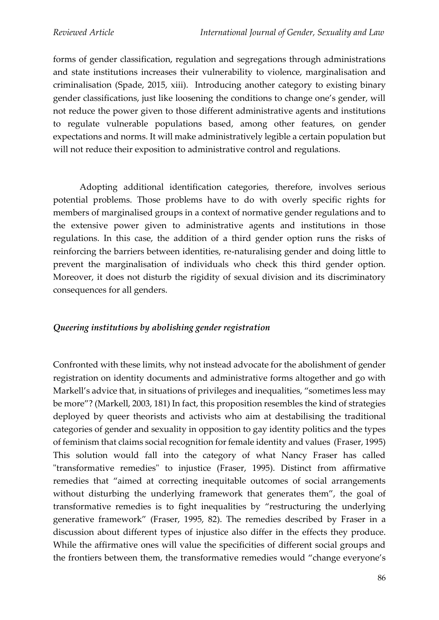forms of gender classification, regulation and segregations through administrations and state institutions increases their vulnerability to violence, marginalisation and criminalisation (Spade, 2015, xiii). Introducing another category to existing binary gender classifications, just like loosening the conditions to change one's gender, will not reduce the power given to those different administrative agents and institutions to regulate vulnerable populations based, among other features, on gender expectations and norms. It will make administratively legible a certain population but will not reduce their exposition to administrative control and regulations.

Adopting additional identification categories, therefore, involves serious potential problems. Those problems have to do with overly specific rights for members of marginalised groups in a context of normative gender regulations and to the extensive power given to administrative agents and institutions in those regulations. In this case, the addition of a third gender option runs the risks of reinforcing the barriers between identities, re-naturalising gender and doing little to prevent the marginalisation of individuals who check this third gender option. Moreover, it does not disturb the rigidity of sexual division and its discriminatory consequences for all genders.

### *Queering institutions by abolishing gender registration*

Confronted with these limits, why not instead advocate for the abolishment of gender registration on identity documents and administrative forms altogether and go with Markell's advice that, in situations of privileges and inequalities, "sometimes less may be more"? (Markell, 2003, 181) In fact, this proposition resembles the kind of strategies deployed by queer theorists and activists who aim at destabilising the traditional categories of gender and sexuality in opposition to gay identity politics and the types of feminism that claims social recognition for female identity and values (Fraser, 1995) This solution would fall into the category of what Nancy Fraser has called "transformative remedies" to injustice (Fraser, 1995). Distinct from affirmative remedies that "aimed at correcting inequitable outcomes of social arrangements without disturbing the underlying framework that generates them", the goal of transformative remedies is to fight inequalities by "restructuring the underlying generative framework" (Fraser, 1995, 82). The remedies described by Fraser in a discussion about different types of injustice also differ in the effects they produce. While the affirmative ones will value the specificities of different social groups and the frontiers between them, the transformative remedies would "change everyone's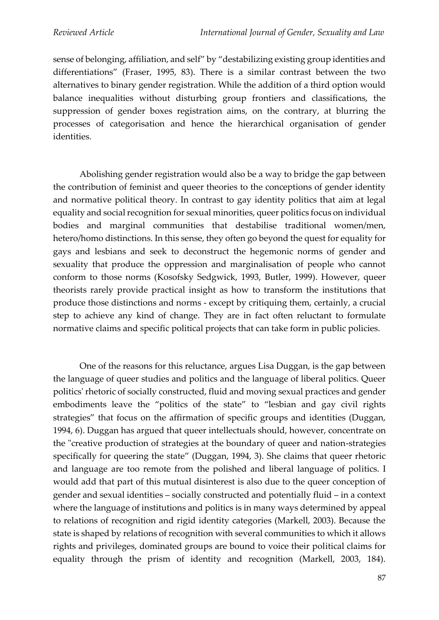sense of belonging, affiliation, and self" by "destabilizing existing group identities and differentiations" (Fraser, 1995, 83). There is a similar contrast between the two alternatives to binary gender registration. While the addition of a third option would balance inequalities without disturbing group frontiers and classifications, the suppression of gender boxes registration aims, on the contrary, at blurring the processes of categorisation and hence the hierarchical organisation of gender identities.

Abolishing gender registration would also be a way to bridge the gap between the contribution of feminist and queer theories to the conceptions of gender identity and normative political theory. In contrast to gay identity politics that aim at legal equality and social recognition for sexual minorities, queer politics focus on individual bodies and marginal communities that destabilise traditional women/men, hetero/homo distinctions. In this sense, they often go beyond the quest for equality for gays and lesbians and seek to deconstruct the hegemonic norms of gender and sexuality that produce the oppression and marginalisation of people who cannot conform to those norms (Kosofsky Sedgwick, 1993, Butler, 1999). However, queer theorists rarely provide practical insight as how to transform the institutions that produce those distinctions and norms - except by critiquing them, certainly, a crucial step to achieve any kind of change. They are in fact often reluctant to formulate normative claims and specific political projects that can take form in public policies.

One of the reasons for this reluctance, argues Lisa Duggan, is the gap between the language of queer studies and politics and the language of liberal politics. Queer politics' rhetoric of socially constructed, fluid and moving sexual practices and gender embodiments leave the "politics of the state" to "lesbian and gay civil rights strategies" that focus on the affirmation of specific groups and identities (Duggan, 1994, 6). Duggan has argued that queer intellectuals should, however, concentrate on the "creative production of strategies at the boundary of queer and nation-strategies specifically for queering the state" (Duggan, 1994, 3). She claims that queer rhetoric and language are too remote from the polished and liberal language of politics. I would add that part of this mutual disinterest is also due to the queer conception of gender and sexual identities – socially constructed and potentially fluid – in a context where the language of institutions and politics is in many ways determined by appeal to relations of recognition and rigid identity categories (Markell, 2003). Because the state is shaped by relations of recognition with several communities to which it allows rights and privileges, dominated groups are bound to voice their political claims for equality through the prism of identity and recognition (Markell, 2003, 184).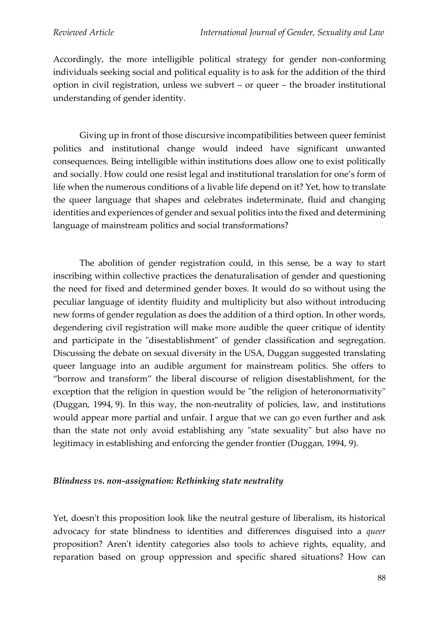Accordingly, the more intelligible political strategy for gender non-conforming individuals seeking social and political equality is to ask for the addition of the third option in civil registration, unless we subvert – or queer – the broader institutional understanding of gender identity.

Giving up in front of those discursive incompatibilities between queer feminist politics and institutional change would indeed have significant unwanted consequences. Being intelligible within institutions does allow one to exist politically and socially. How could one resist legal and institutional translation for one's form of life when the numerous conditions of a livable life depend on it? Yet, how to translate the queer language that shapes and celebrates indeterminate, fluid and changing identities and experiences of gender and sexual politics into the fixed and determining language of mainstream politics and social transformations?

The abolition of gender registration could, in this sense, be a way to start inscribing within collective practices the denaturalisation of gender and questioning the need for fixed and determined gender boxes. It would do so without using the peculiar language of identity fluidity and multiplicity but also without introducing new forms of gender regulation as does the addition of a third option. In other words, degendering civil registration will make more audible the queer critique of identity and participate in the "disestablishment" of gender classification and segregation. Discussing the debate on sexual diversity in the USA, Duggan suggested translating queer language into an audible argument for mainstream politics. She offers to "borrow and transform" the liberal discourse of religion disestablishment, for the exception that the religion in question would be "the religion of heteronormativity" (Duggan, 1994, 9). In this way, the non-neutrality of policies, law, and institutions would appear more partial and unfair. I argue that we can go even further and ask than the state not only avoid establishing any "state sexuality" but also have no legitimacy in establishing and enforcing the gender frontier (Duggan, 1994, 9).

#### *Blindness vs. non-assignation: Rethinking state neutrality*

Yet, doesn't this proposition look like the neutral gesture of liberalism, its historical advocacy for state blindness to identities and differences disguised into a *queer* proposition? Aren't identity categories also tools to achieve rights, equality, and reparation based on group oppression and specific shared situations? How can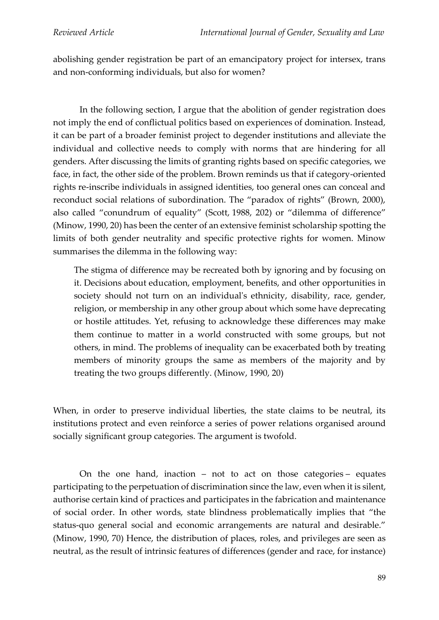abolishing gender registration be part of an emancipatory project for intersex, trans and non-conforming individuals, but also for women?

In the following section, I argue that the abolition of gender registration does not imply the end of conflictual politics based on experiences of domination. Instead, it can be part of a broader feminist project to degender institutions and alleviate the individual and collective needs to comply with norms that are hindering for all genders. After discussing the limits of granting rights based on specific categories, we face, in fact, the other side of the problem. Brown reminds us that if category-oriented rights re-inscribe individuals in assigned identities, too general ones can conceal and reconduct social relations of subordination. The "paradox of rights" (Brown, 2000), also called "conundrum of equality" (Scott, 1988, 202) or "dilemma of difference" (Minow, 1990, 20) has been the center of an extensive feminist scholarship spotting the limits of both gender neutrality and specific protective rights for women. Minow summarises the dilemma in the following way:

The stigma of difference may be recreated both by ignoring and by focusing on it. Decisions about education, employment, benefits, and other opportunities in society should not turn on an individual's ethnicity, disability, race, gender, religion, or membership in any other group about which some have deprecating or hostile attitudes. Yet, refusing to acknowledge these differences may make them continue to matter in a world constructed with some groups, but not others, in mind. The problems of inequality can be exacerbated both by treating members of minority groups the same as members of the majority and by treating the two groups differently. (Minow, 1990, 20)

When, in order to preserve individual liberties, the state claims to be neutral, its institutions protect and even reinforce a series of power relations organised around socially significant group categories. The argument is twofold.

On the one hand, inaction – not to act on those categories – equates participating to the perpetuation of discrimination since the law, even when it is silent, authorise certain kind of practices and participates in the fabrication and maintenance of social order. In other words, state blindness problematically implies that "the status-quo general social and economic arrangements are natural and desirable." (Minow, 1990, 70) Hence, the distribution of places, roles, and privileges are seen as neutral, as the result of intrinsic features of differences (gender and race, for instance)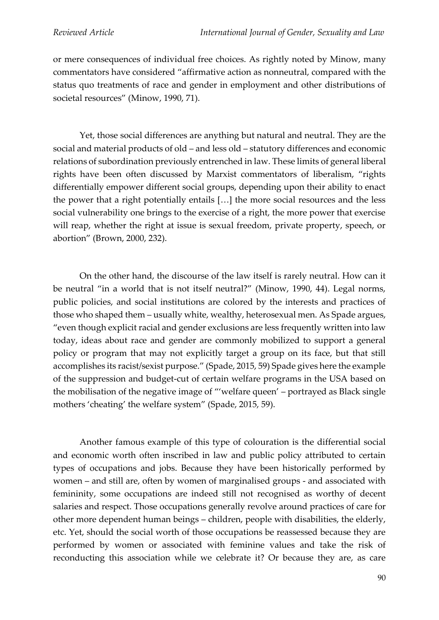or mere consequences of individual free choices. As rightly noted by Minow, many commentators have considered "affirmative action as nonneutral, compared with the status quo treatments of race and gender in employment and other distributions of societal resources" (Minow, 1990, 71).

Yet, those social differences are anything but natural and neutral. They are the social and material products of old – and less old – statutory differences and economic relations of subordination previously entrenched in law. These limits of general liberal rights have been often discussed by Marxist commentators of liberalism, "rights differentially empower different social groups, depending upon their ability to enact the power that a right potentially entails […] the more social resources and the less social vulnerability one brings to the exercise of a right, the more power that exercise will reap, whether the right at issue is sexual freedom, private property, speech, or abortion" (Brown, 2000, 232).

On the other hand, the discourse of the law itself is rarely neutral. How can it be neutral "in a world that is not itself neutral?" (Minow, 1990, 44). Legal norms, public policies, and social institutions are colored by the interests and practices of those who shaped them – usually white, wealthy, heterosexual men. As Spade argues, "even though explicit racial and gender exclusions are less frequently written into law today, ideas about race and gender are commonly mobilized to support a general policy or program that may not explicitly target a group on its face, but that still accomplishes its racist/sexist purpose." (Spade, 2015, 59) Spade gives here the example of the suppression and budget-cut of certain welfare programs in the USA based on the mobilisation of the negative image of "'welfare queen' – portrayed as Black single mothers 'cheating' the welfare system" (Spade, 2015, 59).

Another famous example of this type of colouration is the differential social and economic worth often inscribed in law and public policy attributed to certain types of occupations and jobs. Because they have been historically performed by women – and still are, often by women of marginalised groups - and associated with femininity, some occupations are indeed still not recognised as worthy of decent salaries and respect. Those occupations generally revolve around practices of care for other more dependent human beings – children, people with disabilities, the elderly, etc. Yet, should the social worth of those occupations be reassessed because they are performed by women or associated with feminine values and take the risk of reconducting this association while we celebrate it? Or because they are, as care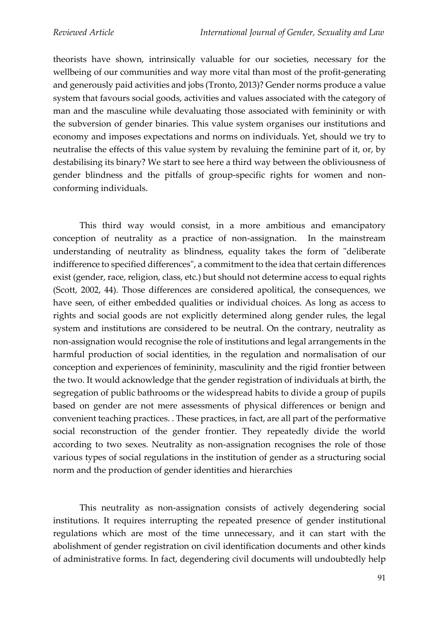theorists have shown, intrinsically valuable for our societies, necessary for the wellbeing of our communities and way more vital than most of the profit-generating and generously paid activities and jobs (Tronto, 2013)? Gender norms produce a value system that favours social goods, activities and values associated with the category of man and the masculine while devaluating those associated with femininity or with the subversion of gender binaries. This value system organises our institutions and economy and imposes expectations and norms on individuals. Yet, should we try to neutralise the effects of this value system by revaluing the feminine part of it, or, by destabilising its binary? We start to see here a third way between the obliviousness of gender blindness and the pitfalls of group-specific rights for women and nonconforming individuals.

This third way would consist, in a more ambitious and emancipatory conception of neutrality as a practice of non-assignation. In the mainstream understanding of neutrality as blindness, equality takes the form of "deliberate indifference to specified differences", a commitment to the idea that certain differences exist (gender, race, religion, class, etc.) but should not determine access to equal rights (Scott, 2002, 44). Those differences are considered apolitical, the consequences, we have seen, of either embedded qualities or individual choices. As long as access to rights and social goods are not explicitly determined along gender rules, the legal system and institutions are considered to be neutral. On the contrary, neutrality as non-assignation would recognise the role of institutions and legal arrangements in the harmful production of social identities, in the regulation and normalisation of our conception and experiences of femininity, masculinity and the rigid frontier between the two. It would acknowledge that the gender registration of individuals at birth, the segregation of public bathrooms or the widespread habits to divide a group of pupils based on gender are not mere assessments of physical differences or benign and convenient teaching practices. . These practices, in fact, are all part of the performative social reconstruction of the gender frontier. They repeatedly divide the world according to two sexes. Neutrality as non-assignation recognises the role of those various types of social regulations in the institution of gender as a structuring social norm and the production of gender identities and hierarchies

This neutrality as non-assignation consists of actively degendering social institutions. It requires interrupting the repeated presence of gender institutional regulations which are most of the time unnecessary, and it can start with the abolishment of gender registration on civil identification documents and other kinds of administrative forms. In fact, degendering civil documents will undoubtedly help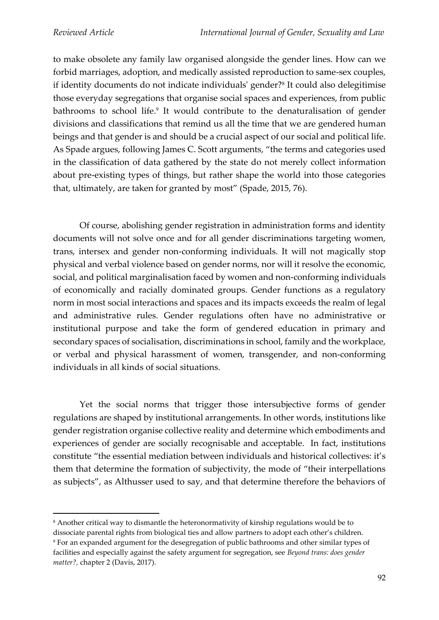to make obsolete any family law organised alongside the gender lines. How can we forbid marriages, adoption, and medically assisted reproduction to same-sex couples, if identity documents do not indicate individuals' gender?<sup>8</sup> It could also delegitimise those everyday segregations that organise social spaces and experiences, from public bathrooms to school life. 9 It would contribute to the denaturalisation of gender divisions and classifications that remind us all the time that we are gendered human beings and that gender is and should be a crucial aspect of our social and political life. As Spade argues, following James C. Scott arguments, "the terms and categories used in the classification of data gathered by the state do not merely collect information about pre-existing types of things, but rather shape the world into those categories that, ultimately, are taken for granted by most" (Spade, 2015, 76).

Of course, abolishing gender registration in administration forms and identity documents will not solve once and for all gender discriminations targeting women, trans, intersex and gender non-conforming individuals. It will not magically stop physical and verbal violence based on gender norms, nor will it resolve the economic, social, and political marginalisation faced by women and non-conforming individuals of economically and racially dominated groups. Gender functions as a regulatory norm in most social interactions and spaces and its impacts exceeds the realm of legal and administrative rules. Gender regulations often have no administrative or institutional purpose and take the form of gendered education in primary and secondary spaces of socialisation, discriminations in school, family and the workplace, or verbal and physical harassment of women, transgender, and non-conforming individuals in all kinds of social situations.

Yet the social norms that trigger those intersubjective forms of gender regulations are shaped by institutional arrangements. In other words, institutions like gender registration organise collective reality and determine which embodiments and experiences of gender are socially recognisable and acceptable. In fact, institutions constitute "the essential mediation between individuals and historical collectives: it's them that determine the formation of subjectivity, the mode of "their interpellations as subjects", as Althusser used to say, and that determine therefore the behaviors of

<sup>8</sup> Another critical way to dismantle the heteronormativity of kinship regulations would be to dissociate parental rights from biological ties and allow partners to adopt each other's children. <sup>9</sup> For an expanded argument for the desegregation of public bathrooms and other similar types of facilities and especially against the safety argument for segregation, see *Beyond trans: does gender matter?,* chapter 2 (Davis, 2017).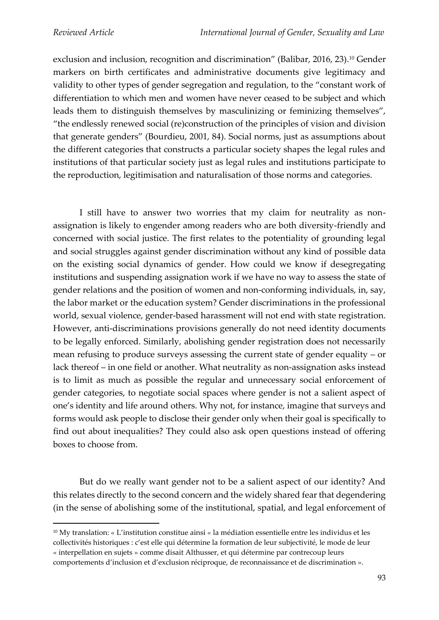exclusion and inclusion, recognition and discrimination" (Balibar, 2016, 23). <sup>10</sup> Gender markers on birth certificates and administrative documents give legitimacy and validity to other types of gender segregation and regulation, to the "constant work of differentiation to which men and women have never ceased to be subject and which leads them to distinguish themselves by masculinizing or feminizing themselves", "the endlessly renewed social (re)construction of the principles of vision and division that generate genders" (Bourdieu, 2001, 84). Social norms, just as assumptions about the different categories that constructs a particular society shapes the legal rules and institutions of that particular society just as legal rules and institutions participate to the reproduction, legitimisation and naturalisation of those norms and categories.

I still have to answer two worries that my claim for neutrality as nonassignation is likely to engender among readers who are both diversity-friendly and concerned with social justice. The first relates to the potentiality of grounding legal and social struggles against gender discrimination without any kind of possible data on the existing social dynamics of gender. How could we know if desegregating institutions and suspending assignation work if we have no way to assess the state of gender relations and the position of women and non-conforming individuals, in, say, the labor market or the education system? Gender discriminations in the professional world, sexual violence, gender-based harassment will not end with state registration. However, anti-discriminations provisions generally do not need identity documents to be legally enforced. Similarly, abolishing gender registration does not necessarily mean refusing to produce surveys assessing the current state of gender equality – or lack thereof – in one field or another. What neutrality as non-assignation asks instead is to limit as much as possible the regular and unnecessary social enforcement of gender categories, to negotiate social spaces where gender is not a salient aspect of one's identity and life around others. Why not, for instance, imagine that surveys and forms would ask people to disclose their gender only when their goal is specifically to find out about inequalities? They could also ask open questions instead of offering boxes to choose from.

But do we really want gender not to be a salient aspect of our identity? And this relates directly to the second concern and the widely shared fear that degendering (in the sense of abolishing some of the institutional, spatial, and legal enforcement of

<sup>10</sup> My translation: « L'institution constitue ainsi « la médiation essentielle entre les individus et les collectivités historiques : c'est elle qui détermine la formation de leur subjectivité, le mode de leur « interpellation en sujets » comme disait Althusser, et qui détermine par contrecoup leurs comportements d'inclusion et d'exclusion réciproque, de reconnaissance et de discrimination ».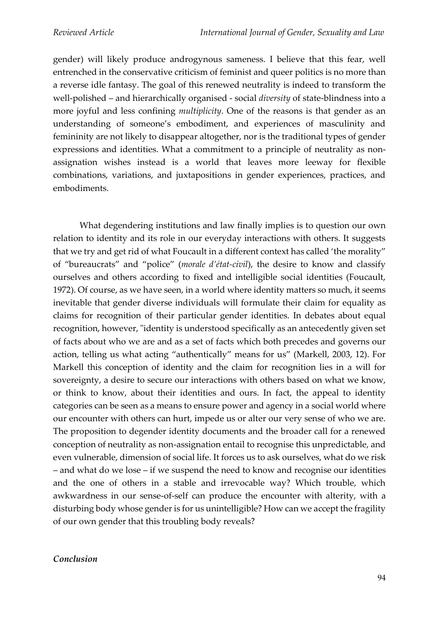gender) will likely produce androgynous sameness. I believe that this fear, well entrenched in the conservative criticism of feminist and queer politics is no more than a reverse idle fantasy. The goal of this renewed neutrality is indeed to transform the well-polished – and hierarchically organised - social *diversity* of state-blindness into a more joyful and less confining *multiplicity*. One of the reasons is that gender as an understanding of someone's embodiment, and experiences of masculinity and femininity are not likely to disappear altogether, nor is the traditional types of gender expressions and identities. What a commitment to a principle of neutrality as nonassignation wishes instead is a world that leaves more leeway for flexible combinations, variations, and juxtapositions in gender experiences, practices, and embodiments.

What degendering institutions and law finally implies is to question our own relation to identity and its role in our everyday interactions with others. It suggests that we try and get rid of what Foucault in a different context has called 'the morality" of "bureaucrats" and "police" (*morale d'état-civil*), the desire to know and classify ourselves and others according to fixed and intelligible social identities (Foucault, 1972). Of course, as we have seen, in a world where identity matters so much, it seems inevitable that gender diverse individuals will formulate their claim for equality as claims for recognition of their particular gender identities. In debates about equal recognition, however, "identity is understood specifically as an antecedently given set of facts about who we are and as a set of facts which both precedes and governs our action, telling us what acting "authentically" means for us" (Markell, 2003, 12). For Markell this conception of identity and the claim for recognition lies in a will for sovereignty, a desire to secure our interactions with others based on what we know, or think to know, about their identities and ours. In fact, the appeal to identity categories can be seen as a means to ensure power and agency in a social world where our encounter with others can hurt, impede us or alter our very sense of who we are. The proposition to degender identity documents and the broader call for a renewed conception of neutrality as non-assignation entail to recognise this unpredictable, and even vulnerable, dimension of social life. It forces us to ask ourselves, what do we risk – and what do we lose – if we suspend the need to know and recognise our identities and the one of others in a stable and irrevocable way? Which trouble, which awkwardness in our sense-of-self can produce the encounter with alterity, with a disturbing body whose gender is for us unintelligible? How can we accept the fragility of our own gender that this troubling body reveals?

#### *Conclusion*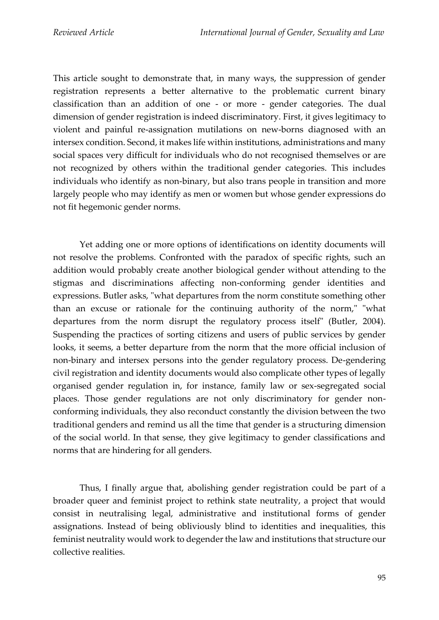This article sought to demonstrate that, in many ways, the suppression of gender registration represents a better alternative to the problematic current binary classification than an addition of one - or more - gender categories. The dual dimension of gender registration is indeed discriminatory. First, it gives legitimacy to violent and painful re-assignation mutilations on new-borns diagnosed with an intersex condition. Second, it makes life within institutions, administrations and many social spaces very difficult for individuals who do not recognised themselves or are not recognized by others within the traditional gender categories. This includes individuals who identify as non-binary, but also trans people in transition and more largely people who may identify as men or women but whose gender expressions do not fit hegemonic gender norms.

Yet adding one or more options of identifications on identity documents will not resolve the problems. Confronted with the paradox of specific rights, such an addition would probably create another biological gender without attending to the stigmas and discriminations affecting non-conforming gender identities and expressions. Butler asks, "what departures from the norm constitute something other than an excuse or rationale for the continuing authority of the norm," "what departures from the norm disrupt the regulatory process itself" (Butler, 2004). Suspending the practices of sorting citizens and users of public services by gender looks, it seems, a better departure from the norm that the more official inclusion of non-binary and intersex persons into the gender regulatory process. De-gendering civil registration and identity documents would also complicate other types of legally organised gender regulation in, for instance, family law or sex-segregated social places. Those gender regulations are not only discriminatory for gender nonconforming individuals, they also reconduct constantly the division between the two traditional genders and remind us all the time that gender is a structuring dimension of the social world. In that sense, they give legitimacy to gender classifications and norms that are hindering for all genders.

Thus, I finally argue that, abolishing gender registration could be part of a broader queer and feminist project to rethink state neutrality, a project that would consist in neutralising legal, administrative and institutional forms of gender assignations. Instead of being obliviously blind to identities and inequalities, this feminist neutrality would work to degender the law and institutions that structure our collective realities.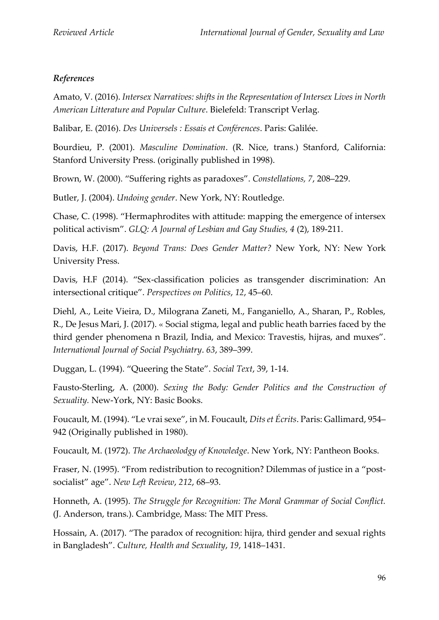## *References*

Amato, V. (2016). *Intersex Narratives: shifts in the Representation of Intersex Lives in North American Litterature and Popular Culture*. Bielefeld: Transcript Verlag.

Balibar, E. (2016). *Des Universels : Essais et Conférences*. Paris: Galilée.

Bourdieu, P. (2001). *Masculine Domination*. (R. Nice, trans.) Stanford, California: Stanford University Press. (originally published in 1998).

Brown, W. (2000). "Suffering rights as paradoxes". *Constellations, 7*, 208–229.

Butler, J. (2004). *Undoing gender*. New York, NY: Routledge.

Chase, C. (1998). "Hermaphrodites with attitude: mapping the emergence of intersex political activism". *GLQ: A Journal of Lesbian and Gay Studies, 4* (2), 189-211.

Davis, H.F. (2017). *Beyond Trans: Does Gender Matter?* New York, NY: New York University Press.

Davis, H.F (2014). "Sex-classification policies as transgender discrimination: An intersectional critique". *Perspectives on Politics*, *12*, 45–60.

Diehl, A., Leite Vieira, D., Milograna Zaneti, M., Fanganiello, A., Sharan, P., Robles, R., De Jesus Mari, J. (2017). « Social stigma, legal and public heath barries faced by the third gender phenomena n Brazil, India, and Mexico: Travestis, hijras, and muxes". *International Journal of Social Psychiatry*. *63*, 389–399.

Duggan, L. (1994). "Queering the State". *Social Text*, 39, 1-14.

Fausto-Sterling, A. (2000). *Sexing the Body: Gender Politics and the Construction of Sexuality.* New-York, NY: Basic Books.

Foucault, M. (1994). "Le vrai sexe", in M. Foucault, *Dits et Écrits*. Paris: Gallimard, 954– 942 (Originally published in 1980).

Foucault, M. (1972). *The Archaeolodgy of Knowledge*. New York, NY: Pantheon Books.

Fraser, N. (1995). "From redistribution to recognition? Dilemmas of justice in a "postsocialist" age". *New Left Review*, *212*, 68–93.

Honneth, A. (1995). *The Struggle for Recognition: The Moral Grammar of Social Conflict.* (J. Anderson, trans.). Cambridge, Mass: The MIT Press.

Hossain, A. (2017). "The paradox of recognition: hijra, third gender and sexual rights in Bangladesh". *Culture, Health and Sexuality*, *19*, 1418–1431.